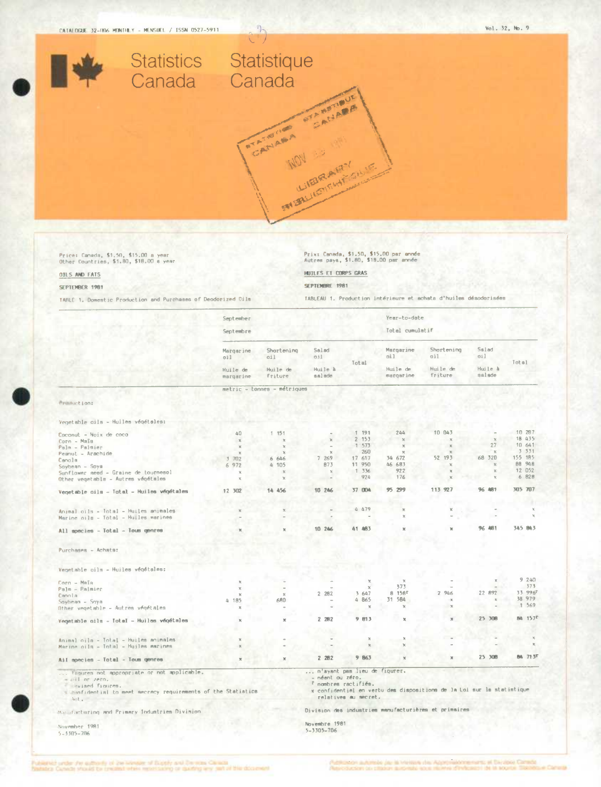

Price: Canada, \$1,50, \$15.00 a year<br>Other Countries, \$1,80, \$18.00 s year

## **OILS AND FATS**

## SEPTEMBER 1981

TABLE 1. Domestic Production and Purchases of Deodorized Dile

Prix: Canada, \$1.50, \$15.00 par année<br>Autres pays, \$1.80, \$18.00 par année

HUILES ET CORPS GRAS

SEPTEMBRE 1981

TABLEAU 1. Production intérieure et achata d'huiles désodorisées

|                                                                                            | September               |                             |                              |                       | Year-to-date     |                                                                       |               |                     |
|--------------------------------------------------------------------------------------------|-------------------------|-----------------------------|------------------------------|-----------------------|------------------|-----------------------------------------------------------------------|---------------|---------------------|
|                                                                                            | Septembre               |                             |                              |                       | Total cumulatif  |                                                                       |               |                     |
|                                                                                            | Margarine<br>oil        | Shortening<br>oil           | Salad<br>oil                 |                       | Margarine<br>nil | Shortening<br>oil                                                     | Sslad<br>oil  |                     |
|                                                                                            | Huile de                | Huile de                    | Huile à                      | Total                 | Huile de         | Huile de                                                              | Huile à       | Total               |
|                                                                                            | margarine               | Friture                     | salade                       |                       | margarine        | friture                                                               | salade        |                     |
|                                                                                            |                         | metric - tonnes - métriques |                              |                       |                  |                                                                       |               |                     |
| Pre-hiction:                                                                               |                         |                             |                              |                       |                  |                                                                       |               |                     |
|                                                                                            |                         |                             |                              |                       |                  |                                                                       |               |                     |
| Vegetable cils - Hulles végétales:                                                         |                         |                             |                              |                       |                  |                                                                       |               |                     |
| Coconut - Noix de coco                                                                     | 40                      | 1 151                       |                              | 1 191                 | 244              | 10 043                                                                |               | 10 287              |
| Corn - Mala                                                                                | $\mathbb{X}$            |                             |                              | 2 153                 | $\mathbb{Y}$     | $\mathbf{x}$                                                          |               | 18 435              |
| Palm - Palmier                                                                             | $\mathbb{X}$            |                             |                              | 1 573                 |                  | $\mathbb{R}$                                                          | 27            | 10 641              |
| Peanut - Arachide                                                                          | $\times$                |                             | $\times$                     | 260                   | $\mathbb{R}$     |                                                                       | <b>x</b>      | 3 3 3 1             |
| Canola                                                                                     | 702<br>3                | 6 646                       | 7 269                        | 17 617                | 34 672           | 52 193                                                                | 68 320        | 155 185             |
| $Sovbenen - Sovæ$                                                                          | 972<br>6                | 4 105                       | 873                          | 11 950                | 46 683           | $\mathbbm{K}$                                                         | $\mathcal{M}$ | 88 948              |
| Sunflower seed - Graine de tournesol                                                       | $\overline{\mathbf{x}}$ | $\mathbf{x}$                | $\times$                     | 1 336                 | 922              | $\mathcal{M}$                                                         |               | 12 052              |
| Other vegetabla - Autres végétales                                                         | x                       | $\mathbf{y}$                |                              | 924                   | 176              |                                                                       |               | 6 828               |
| Vegetable oils - Total - Huiles végétales                                                  | 12 302                  | 14 456                      | 10 246                       | 37 004                | 95 299           | 113 927                                                               | 96 481        | 305 707             |
|                                                                                            |                         |                             |                              |                       |                  |                                                                       |               |                     |
|                                                                                            |                         |                             |                              | 4479                  | $\mathcal{R}$    |                                                                       |               |                     |
| Animal oils - Total - Huiles animales<br>Marine oils - Total - Huiles marines              |                         |                             |                              |                       | ×                |                                                                       |               |                     |
| All species - Total - Toum genres                                                          |                         |                             | 10 246                       | 41 483                |                  |                                                                       | 96<br>481     | 345 843             |
| Purchases - Achata:                                                                        |                         |                             |                              |                       |                  |                                                                       |               |                     |
| Vegetable oils - Huiles végétales:                                                         |                         |                             |                              |                       |                  |                                                                       |               |                     |
| Corn - Maïa                                                                                |                         |                             |                              |                       |                  |                                                                       |               | 9240                |
| Palm - Palmier                                                                             |                         |                             |                              | $\mathbf{y}$          | 373              |                                                                       |               | 373                 |
| Canola                                                                                     |                         | $\mathbf x$                 | 2 282                        | 3 647                 | 8 1585           | 2 946                                                                 | 22 892        | 33 996 <sup>F</sup> |
| Soybean - Soya                                                                             | 4 185                   | 680                         |                              | 4 865                 | 31 584           |                                                                       |               | 38 979              |
| Other vegetable - Autres végétales                                                         | ×                       |                             |                              | $\boldsymbol{\times}$ | $\mathbf x$      |                                                                       |               | 1569                |
| Vegetable oils - Total - Huiles végétales                                                  |                         |                             | 2.282                        | 9.013                 | $\mathbbm{R}$    |                                                                       | 25 308        | 84 157 <sup>T</sup> |
|                                                                                            |                         |                             |                              |                       |                  |                                                                       |               |                     |
| Animal cila - Total - Huiles animales                                                      |                         |                             |                              | $\chi$                |                  |                                                                       |               |                     |
| Marine oils – Intal – Huiles marines                                                       |                         |                             |                              |                       |                  |                                                                       |               |                     |
| Ail species - Total - Toum genres                                                          | x                       |                             | 222                          | 9 863                 |                  |                                                                       | 25 308        | BA 713F             |
| figures not appropriate or not applicable.                                                 |                         |                             | n'ayant pas lieu de figurer. |                       |                  |                                                                       |               |                     |
| $=$ $\omega$ il or zero.                                                                   |                         |                             | - néent ou zéro.             |                       |                  |                                                                       |               |                     |
| Foviaed finures.                                                                           |                         |                             |                              | I nombres ractifiés.  |                  | x confidentiel en vertu des dispositions de la Loi sur la statistique |               |                     |
| . confidential to meet secrecy requirements of the Statistics<br>$\lambda$ cl <sub>e</sub> |                         |                             |                              | relatives au secret.  |                  |                                                                       |               |                     |
| Monetacturing and Primary Industries Division                                              |                         |                             |                              |                       |                  | Division des industries manufacturières et primaires                  |               |                     |
|                                                                                            |                         |                             | Novembre 1981                |                       |                  |                                                                       |               |                     |
| November 1981                                                                              |                         |                             | $5 - 3305 - 706$             |                       |                  |                                                                       |               |                     |
| $5 - 3305 - 706$                                                                           |                         |                             |                              |                       |                  |                                                                       |               |                     |